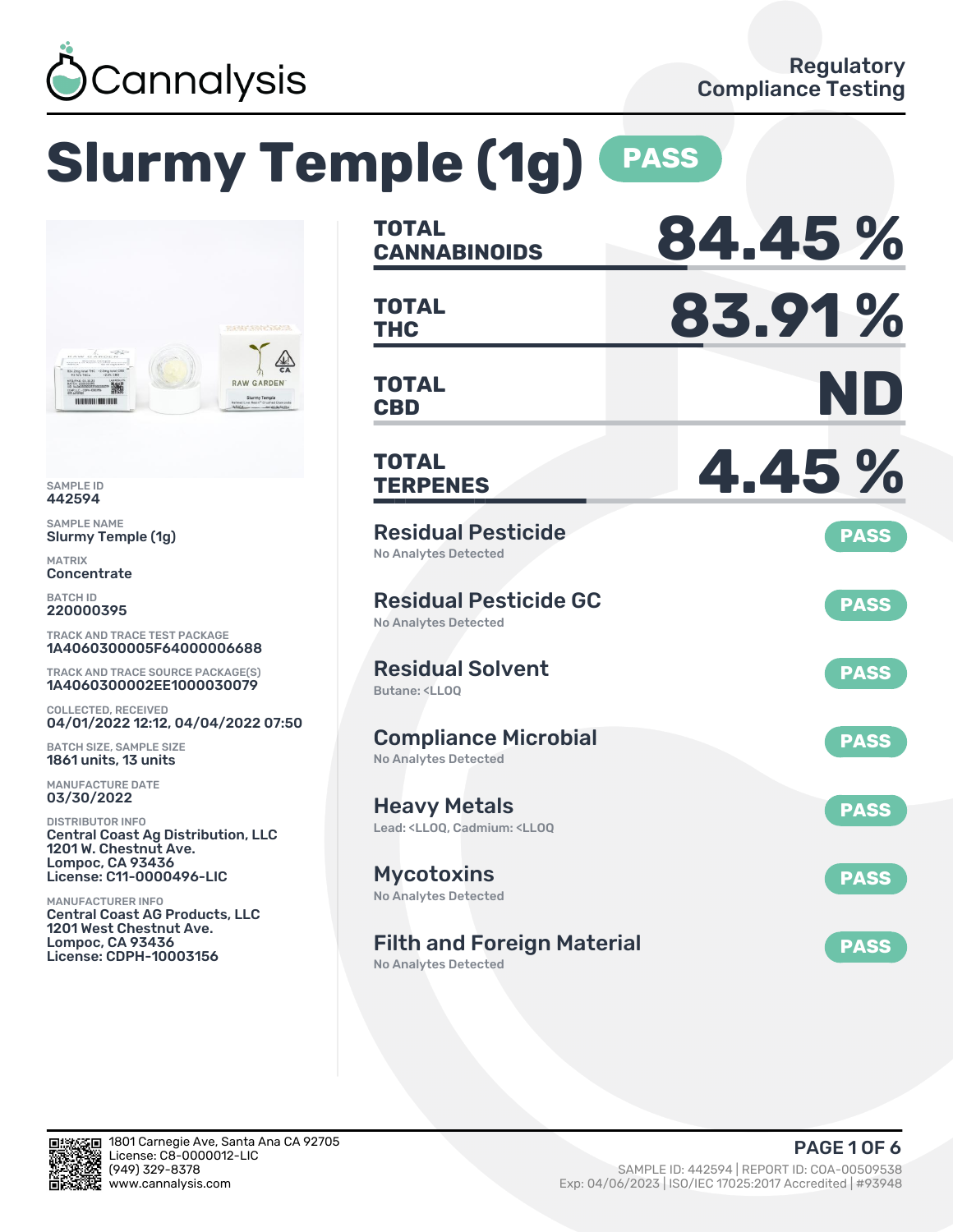

# **Slurmy Temple (1g) PASS**



SAMPLE ID 442594

SAMPLE NAME Slurmy Temple (1g)

MATRIX **Concentrate** 

BATCH ID 220000395

TRACK AND TRACE TEST PACKAGE 1A4060300005F64000006688

TRACK AND TRACE SOURCE PACKAGE(S) 1A4060300002EE1000030079

COLLECTED, RECEIVED 04/01/2022 12:12, 04/04/2022 07:50

BATCH SIZE, SAMPLE SIZE 1861 units, 13 units

MANUFACTURE DATE 03/30/2022

DISTRIBUTOR INFO Central Coast Ag Distribution, LLC 1201 W. Chestnut Ave. Lompoc, CA 93436 License: C11-0000496-LIC

MANUFACTURER INFO Central Coast AG Products, LLC 1201 West Chestnut Ave. Lompoc, CA 93436 License: CDPH-10003156

| <b>TOTAL</b><br><b>CANNABINOIDS</b>                                                          | 84.45%      |
|----------------------------------------------------------------------------------------------|-------------|
| <b>TOTAL</b><br><b>THC</b>                                                                   | 83.91%      |
| <b>TOTAL</b><br><b>CBD</b>                                                                   | ND          |
| <b>TOTAL</b><br><b>TERPENES</b>                                                              | 4.45%       |
| <b>Residual Pesticide</b><br><b>No Analytes Detected</b>                                     | <b>PASS</b> |
| <b>Residual Pesticide GC</b><br><b>No Analytes Detected</b>                                  | <b>PASS</b> |
| <b>Residual Solvent</b><br>Butane: <ll00< td=""><td><b>PASS</b></td></ll00<>                 | <b>PASS</b> |
| <b>Compliance Microbial</b><br><b>No Analytes Detected</b>                                   | <b>PASS</b> |
| <b>Heavy Metals</b><br>Lead: <ll00. <ll00<="" cadmium:="" td=""><td><b>PASS</b></td></ll00.> | <b>PASS</b> |
| <b>Mycotoxins</b><br>No Analytes Detected                                                    | <b>PASS</b> |
| <b>Filth and Foreign Material</b><br><b>No Analytes Detected</b>                             | <b>PASS</b> |

SП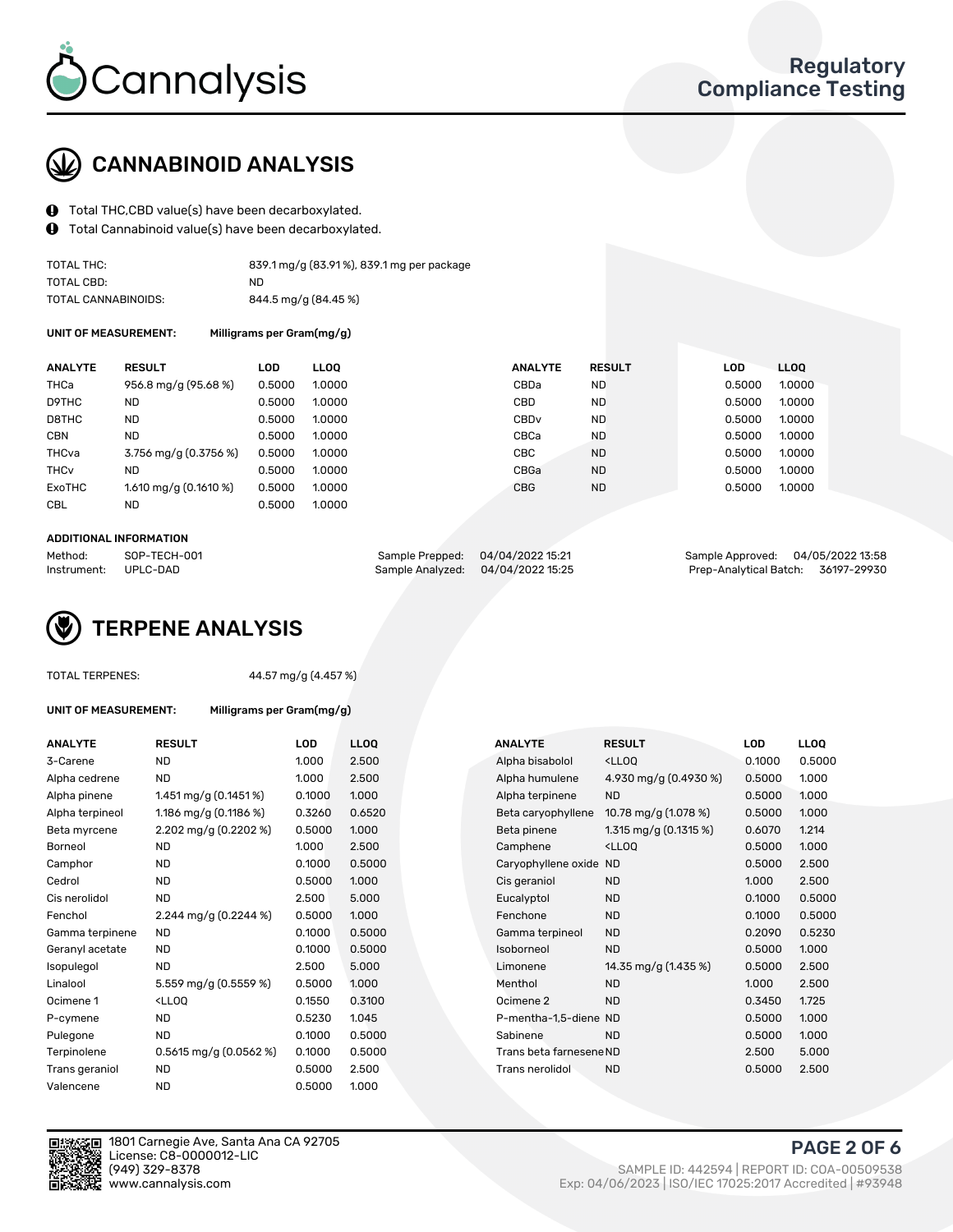

## CANNABINOID ANALYSIS

- Total THC,CBD value(s) have been decarboxylated.
- Total Cannabinoid value(s) have been decarboxylated.  $\mathbf{\Theta}$

| TOTAL THC:          | 839.1 mg/g (83.91%), 839.1 mg per package |
|---------------------|-------------------------------------------|
| TOTAL CBD:          | ND.                                       |
| TOTAL CANNABINOIDS: | 844.5 mg/g (84.45 %)                      |

UNIT OF MEASUREMENT: Milligrams per Gram(mg/g)

| <b>ANALYTE</b>         | <b>RESULT</b>           | LOD    | <b>LLOO</b> | <b>ANALYTE</b>   | <b>RESULT</b> | <b>LOD</b> | <b>LLOO</b> |  |
|------------------------|-------------------------|--------|-------------|------------------|---------------|------------|-------------|--|
| THCa                   | 956.8 mg/g (95.68 %)    | 0.5000 | 1.0000      | CBDa             | <b>ND</b>     | 0.5000     | 1.0000      |  |
| D9THC                  | <b>ND</b>               | 0.5000 | 1.0000      | CBD              | <b>ND</b>     | 0.5000     | 1.0000      |  |
| D8THC                  | <b>ND</b>               | 0.5000 | 1.0000      | CBD <sub>v</sub> | <b>ND</b>     | 0.5000     | 1.0000      |  |
| <b>CBN</b>             | <b>ND</b>               | 0.5000 | 1.0000      | CBCa             | <b>ND</b>     | 0.5000     | 1.0000      |  |
| THCva                  | 3.756 mg/g (0.3756 %)   | 0.5000 | 1.0000      | CBC              | <b>ND</b>     | 0.5000     | 1.0000      |  |
| <b>THC<sub>v</sub></b> | <b>ND</b>               | 0.5000 | 1.0000      | CBGa             | <b>ND</b>     | 0.5000     | 1.0000      |  |
| ExoTHC                 | $1.610$ mg/g (0.1610 %) | 0.5000 | 1.0000      | <b>CBG</b>       | <b>ND</b>     | 0.5000     | 1.0000      |  |
| <b>CBL</b>             | ND.                     | 0.5000 | 1.0000      |                  |               |            |             |  |
|                        |                         |        |             |                  |               |            |             |  |

#### ADDITIONAL INFORMATION

| Method:              | SOP-TECH-001 | Sample Prepped: 04/04/2022 15:21  | Sample Approved: 04/05/2022 13:58  |  |
|----------------------|--------------|-----------------------------------|------------------------------------|--|
| Instrument: UPLC-DAD |              | Sample Analyzed: 04/04/2022 15:25 | Prep-Analytical Batch: 36197-29930 |  |

## TERPENE ANALYSIS

44.57 mg/g (4.457 %)

UNIT OF MEASUREMENT: Milligrams per Gram(mg/g)

| <b>ANALYTE</b>  | <b>RESULT</b>                                                                                                                  | LOD    | <b>LLOQ</b> | <b>ANALYTE</b>          | <b>RESULT</b>                                      | LOD    | <b>LLOQ</b> |
|-----------------|--------------------------------------------------------------------------------------------------------------------------------|--------|-------------|-------------------------|----------------------------------------------------|--------|-------------|
| 3-Carene        | ND.                                                                                                                            | 1.000  | 2.500       | Alpha bisabolol         | <ll0q< td=""><td>0.1000</td><td>0.500</td></ll0q<> | 0.1000 | 0.500       |
| Alpha cedrene   | <b>ND</b>                                                                                                                      | 1.000  | 2.500       | Alpha humulene          | 4.930 mg/g (0.4930 %)                              | 0.5000 | 1.000       |
| Alpha pinene    | 1.451 mg/g $(0.1451\%)$                                                                                                        | 0.1000 | 1.000       | Alpha terpinene         | <b>ND</b>                                          | 0.5000 | 1.000       |
| Alpha terpineol | 1.186 mg/g (0.1186 %)                                                                                                          | 0.3260 | 0.6520      | Beta caryophyllene      | 10.78 mg/g (1.078 %)                               | 0.5000 | 1.000       |
| Beta myrcene    | 2.202 mg/g $(0.2202\%)$                                                                                                        | 0.5000 | 1.000       | Beta pinene             | 1.315 mg/g $(0.1315%)$                             | 0.6070 | 1.214       |
| Borneol         | <b>ND</b>                                                                                                                      | 1.000  | 2.500       | Camphene                | <ll0q< td=""><td>0.5000</td><td>1.000</td></ll0q<> | 0.5000 | 1.000       |
| Camphor         | ND.                                                                                                                            | 0.1000 | 0.5000      | Caryophyllene oxide ND  |                                                    | 0.5000 | 2.500       |
| Cedrol          | ND.                                                                                                                            | 0.5000 | 1.000       | Cis geraniol            | <b>ND</b>                                          | 1.000  | 2.500       |
| Cis nerolidol   | <b>ND</b>                                                                                                                      | 2.500  | 5.000       | Eucalyptol              | <b>ND</b>                                          | 0.1000 | 0.500       |
| Fenchol         | 2.244 mg/g $(0.2244\%)$                                                                                                        | 0.5000 | 1.000       | Fenchone                | <b>ND</b>                                          | 0.1000 | 0.500       |
| Gamma terpinene | <b>ND</b>                                                                                                                      | 0.1000 | 0.5000      | Gamma terpineol         | <b>ND</b>                                          | 0.2090 | 0.523       |
| Geranyl acetate | <b>ND</b>                                                                                                                      | 0.1000 | 0.5000      | Isoborneol              | <b>ND</b>                                          | 0.5000 | 1.000       |
| Isopulegol      | <b>ND</b>                                                                                                                      | 2.500  | 5.000       | Limonene                | 14.35 mg/g (1.435 %)                               | 0.5000 | 2.500       |
| Linalool        | 5.559 mg/g (0.5559 %)                                                                                                          | 0.5000 | 1.000       | Menthol                 | <b>ND</b>                                          | 1.000  | 2.500       |
| Ocimene 1       | <lloq< td=""><td>0.1550</td><td>0.3100</td><td>Ocimene<sub>2</sub></td><td><b>ND</b></td><td>0.3450</td><td>1.725</td></lloq<> | 0.1550 | 0.3100      | Ocimene <sub>2</sub>    | <b>ND</b>                                          | 0.3450 | 1.725       |
| P-cymene        | ND.                                                                                                                            | 0.5230 | 1.045       | P-mentha-1,5-diene ND   |                                                    | 0.5000 | 1.000       |
| Pulegone        | <b>ND</b>                                                                                                                      | 0.1000 | 0.5000      | Sabinene                | <b>ND</b>                                          | 0.5000 | 1.000       |
| Terpinolene     | $0.5615$ mg/g $(0.0562%)$                                                                                                      | 0.1000 | 0.5000      | Trans beta farnesene ND |                                                    | 2.500  | 5.000       |
| Trans geraniol  | <b>ND</b>                                                                                                                      | 0.5000 | 2.500       | Trans nerolidol         | <b>ND</b>                                          | 0.5000 | 2.500       |
| Valencene       | <b>ND</b>                                                                                                                      | 0.5000 | 1.000       |                         |                                                    |        |             |

| ANALYTE         | <b>RESULT</b>                                                                                                                 | LOD    | <b>LLOQ</b> |  | <b>ANALYTE</b>          | <b>RESULT</b>                                       | <b>LOD</b> | <b>LLOQ</b> |
|-----------------|-------------------------------------------------------------------------------------------------------------------------------|--------|-------------|--|-------------------------|-----------------------------------------------------|------------|-------------|
| 3-Carene        | <b>ND</b>                                                                                                                     | 1.000  | 2.500       |  | Alpha bisabolol         | <lloq< td=""><td>0.1000</td><td>0.5000</td></lloq<> | 0.1000     | 0.5000      |
| Alpha cedrene   | <b>ND</b>                                                                                                                     | 1.000  | 2.500       |  | Alpha humulene          | 4.930 mg/g (0.4930 %)                               | 0.5000     | 1.000       |
| Alpha pinene    | 1.451 mg/g $(0.1451\%)$                                                                                                       | 0.1000 | 1.000       |  | Alpha terpinene         | <b>ND</b>                                           | 0.5000     | 1.000       |
| Alpha terpineol | 1.186 mg/g $(0.1186%)$                                                                                                        | 0.3260 | 0.6520      |  | Beta caryophyllene      | 10.78 mg/g (1.078 %)                                | 0.5000     | 1.000       |
| Beta myrcene    | 2.202 mg/g (0.2202 %)                                                                                                         | 0.5000 | 1.000       |  | Beta pinene             | 1.315 mg/g $(0.1315%)$                              | 0.6070     | 1.214       |
| Borneol         | <b>ND</b>                                                                                                                     | 1.000  | 2.500       |  | Camphene                | <lloq< td=""><td>0.5000</td><td>1.000</td></lloq<>  | 0.5000     | 1.000       |
| Camphor         | <b>ND</b>                                                                                                                     | 0.1000 | 0.5000      |  | Caryophyllene oxide     | ND                                                  | 0.5000     | 2.500       |
| Cedrol          | <b>ND</b>                                                                                                                     | 0.5000 | 1.000       |  | Cis geraniol            | <b>ND</b>                                           | 1.000      | 2.500       |
| Cis nerolidol   | <b>ND</b>                                                                                                                     | 2.500  | 5.000       |  | Eucalyptol              | <b>ND</b>                                           | 0.1000     | 0.5000      |
| Fenchol         | 2.244 mg/g (0.2244 %)                                                                                                         | 0.5000 | 1.000       |  | Fenchone                | <b>ND</b>                                           | 0.1000     | 0.5000      |
| Gamma terpinene | ND.                                                                                                                           | 0.1000 | 0.5000      |  | Gamma terpineol         | <b>ND</b>                                           | 0.2090     | 0.5230      |
| Geranyl acetate | <b>ND</b>                                                                                                                     | 0.1000 | 0.5000      |  | Isoborneol              | <b>ND</b>                                           | 0.5000     | 1.000       |
| Isopulegol      | <b>ND</b>                                                                                                                     | 2.500  | 5.000       |  | Limonene                | 14.35 mg/g (1.435 %)                                | 0.5000     | 2.500       |
| Linalool        | 5.559 mg/g (0.5559 %)                                                                                                         | 0.5000 | 1.000       |  | Menthol                 | <b>ND</b>                                           | 1.000      | 2.500       |
| Ocimene 1       | <lloq< td=""><td>0.1550</td><td>0.3100</td><td></td><td>Ocimene 2</td><td><b>ND</b></td><td>0.3450</td><td>1.725</td></lloq<> | 0.1550 | 0.3100      |  | Ocimene 2               | <b>ND</b>                                           | 0.3450     | 1.725       |
| P-cymene        | ND.                                                                                                                           | 0.5230 | 1.045       |  | P-mentha-1,5-diene ND   |                                                     | 0.5000     | 1.000       |
| Pulegone        | <b>ND</b>                                                                                                                     | 0.1000 | 0.5000      |  | Sabinene                | <b>ND</b>                                           | 0.5000     | 1.000       |
| Terpinolene     | $0.5615$ mg/g $(0.0562%)$                                                                                                     | 0.1000 | 0.5000      |  | Trans beta farnesene ND |                                                     | 2.500      | 5.000       |
| Trans geraniol  | <b>ND</b>                                                                                                                     | 0.5000 | 2.500       |  | Trans nerolidol         | <b>ND</b>                                           | 0.5000     | 2.500       |
|                 |                                                                                                                               |        |             |  |                         |                                                     |            |             |



1801 Carnegie Ave, Santa Ana CA 92705 License: C8-0000012-LIC<br>(949) 329-8378

PAGE 2 OF 6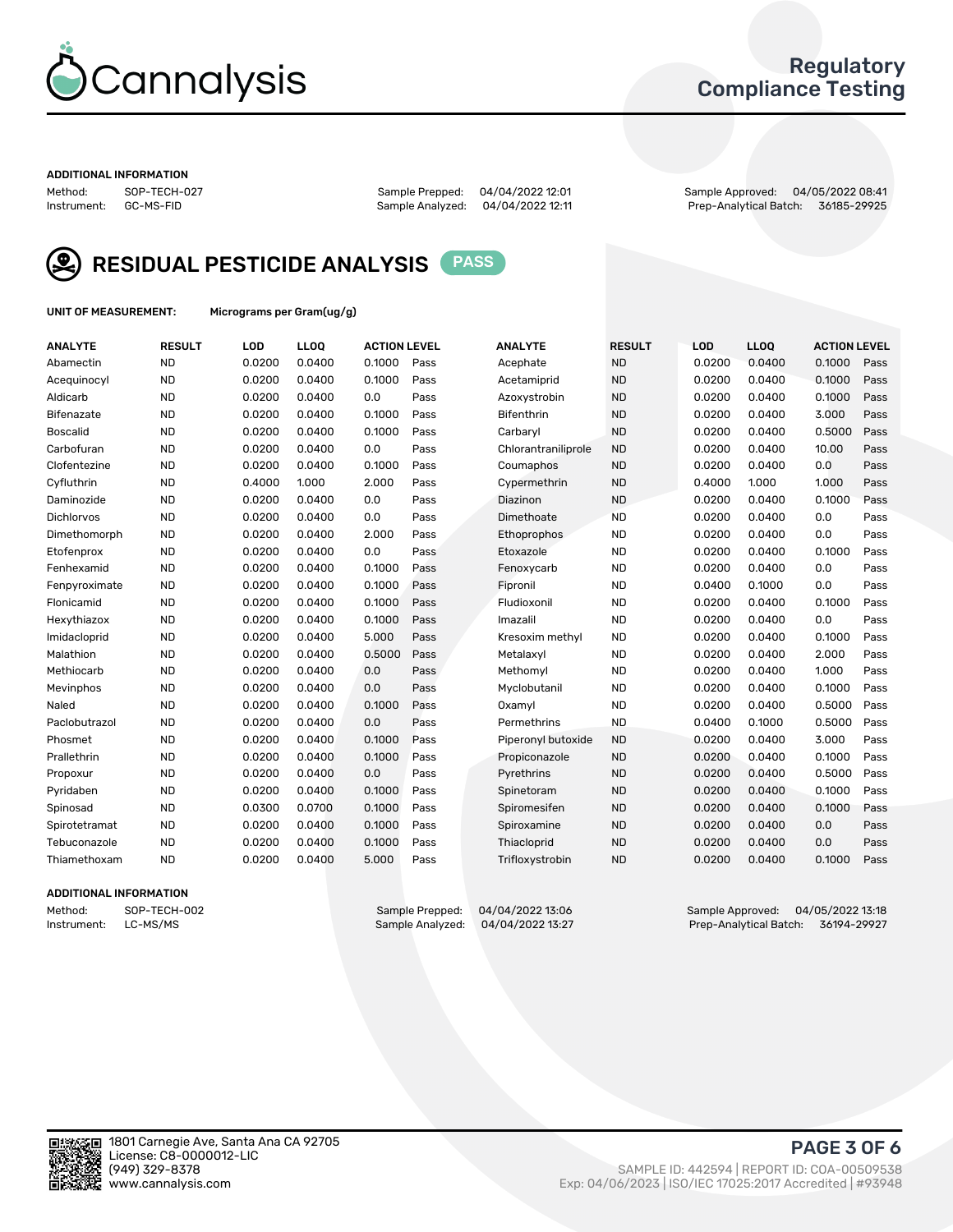

### Regulatory Compliance Testing

#### ADDITIONAL INFORMATION

Method: SOP-TECH-027 Sample Prepped: 04/04/2022 12:01 Sample Approved: 04/05/2022 08:41 Prep-Analytical Batch: 36185-29925



RESIDUAL PESTICIDE ANALYSIS PASS

UNIT OF MEASUREMENT: Micrograms per Gram(ug/g)

| <b>ANALYTE</b>  | <b>RESULT</b> | LOD    | LL <sub>OO</sub> | <b>ACTION LEVEL</b> |      | <b>ANALYTE</b>      | <b>RESULT</b> | <b>LOD</b> | <b>LLOQ</b> | <b>ACTION LEVEL</b> |      |
|-----------------|---------------|--------|------------------|---------------------|------|---------------------|---------------|------------|-------------|---------------------|------|
| Abamectin       | <b>ND</b>     | 0.0200 | 0.0400           | 0.1000              | Pass | Acephate            | <b>ND</b>     | 0.0200     | 0.0400      | 0.1000              | Pass |
| Acequinocyl     | <b>ND</b>     | 0.0200 | 0.0400           | 0.1000              | Pass | Acetamiprid         | <b>ND</b>     | 0.0200     | 0.0400      | 0.1000              | Pass |
| Aldicarb        | <b>ND</b>     | 0.0200 | 0.0400           | 0.0                 | Pass | Azoxystrobin        | <b>ND</b>     | 0.0200     | 0.0400      | 0.1000              | Pass |
| Bifenazate      | <b>ND</b>     | 0.0200 | 0.0400           | 0.1000              | Pass | <b>Bifenthrin</b>   | <b>ND</b>     | 0.0200     | 0.0400      | 3.000               | Pass |
| <b>Boscalid</b> | <b>ND</b>     | 0.0200 | 0.0400           | 0.1000              | Pass | Carbarvl            | <b>ND</b>     | 0.0200     | 0.0400      | 0.5000              | Pass |
| Carbofuran      | <b>ND</b>     | 0.0200 | 0.0400           | 0.0                 | Pass | Chlorantraniliprole | <b>ND</b>     | 0.0200     | 0.0400      | 10.00               | Pass |
| Clofentezine    | <b>ND</b>     | 0.0200 | 0.0400           | 0.1000              | Pass | Coumaphos           | <b>ND</b>     | 0.0200     | 0.0400      | 0.0                 | Pass |
| Cyfluthrin      | <b>ND</b>     | 0.4000 | 1.000            | 2.000               | Pass | Cypermethrin        | <b>ND</b>     | 0.4000     | 1.000       | 1.000               | Pass |
| Daminozide      | <b>ND</b>     | 0.0200 | 0.0400           | 0.0                 | Pass | Diazinon            | <b>ND</b>     | 0.0200     | 0.0400      | 0.1000              | Pass |
| Dichlorvos      | <b>ND</b>     | 0.0200 | 0.0400           | 0.0                 | Pass | Dimethoate          | <b>ND</b>     | 0.0200     | 0.0400      | 0.0                 | Pass |
| Dimethomorph    | <b>ND</b>     | 0.0200 | 0.0400           | 2.000               | Pass | Ethoprophos         | <b>ND</b>     | 0.0200     | 0.0400      | 0.0                 | Pass |
| Etofenprox      | <b>ND</b>     | 0.0200 | 0.0400           | 0.0                 | Pass | Etoxazole           | <b>ND</b>     | 0.0200     | 0.0400      | 0.1000              | Pass |
| Fenhexamid      | <b>ND</b>     | 0.0200 | 0.0400           | 0.1000              | Pass | Fenoxycarb          | <b>ND</b>     | 0.0200     | 0.0400      | 0.0                 | Pass |
| Fenpyroximate   | <b>ND</b>     | 0.0200 | 0.0400           | 0.1000              | Pass | Fipronil            | <b>ND</b>     | 0.0400     | 0.1000      | 0.0                 | Pass |
| Flonicamid      | <b>ND</b>     | 0.0200 | 0.0400           | 0.1000              | Pass | Fludioxonil         | <b>ND</b>     | 0.0200     | 0.0400      | 0.1000              | Pass |
| Hexythiazox     | <b>ND</b>     | 0.0200 | 0.0400           | 0.1000              | Pass | Imazalil            | <b>ND</b>     | 0.0200     | 0.0400      | 0.0                 | Pass |
| Imidacloprid    | <b>ND</b>     | 0.0200 | 0.0400           | 5.000               | Pass | Kresoxim methyl     | <b>ND</b>     | 0.0200     | 0.0400      | 0.1000              | Pass |
| Malathion       | <b>ND</b>     | 0.0200 | 0.0400           | 0.5000              | Pass | Metalaxyl           | <b>ND</b>     | 0.0200     | 0.0400      | 2.000               | Pass |
| Methiocarb      | <b>ND</b>     | 0.0200 | 0.0400           | 0.0                 | Pass | Methomyl            | <b>ND</b>     | 0.0200     | 0.0400      | 1.000               | Pass |
| Mevinphos       | <b>ND</b>     | 0.0200 | 0.0400           | 0.0                 | Pass | Myclobutanil        | <b>ND</b>     | 0.0200     | 0.0400      | 0.1000              | Pass |
| Naled           | <b>ND</b>     | 0.0200 | 0.0400           | 0.1000              | Pass | Oxamyl              | <b>ND</b>     | 0.0200     | 0.0400      | 0.5000              | Pass |
| Paclobutrazol   | <b>ND</b>     | 0.0200 | 0.0400           | 0.0                 | Pass | Permethrins         | <b>ND</b>     | 0.0400     | 0.1000      | 0.5000              | Pass |
| Phosmet         | <b>ND</b>     | 0.0200 | 0.0400           | 0.1000              | Pass | Piperonyl butoxide  | <b>ND</b>     | 0.0200     | 0.0400      | 3.000               | Pass |
| Prallethrin     | <b>ND</b>     | 0.0200 | 0.0400           | 0.1000              | Pass | Propiconazole       | <b>ND</b>     | 0.0200     | 0.0400      | 0.1000              | Pass |
| Propoxur        | <b>ND</b>     | 0.0200 | 0.0400           | 0.0                 | Pass | Pyrethrins          | <b>ND</b>     | 0.0200     | 0.0400      | 0.5000              | Pass |
| Pyridaben       | <b>ND</b>     | 0.0200 | 0.0400           | 0.1000              | Pass | Spinetoram          | <b>ND</b>     | 0.0200     | 0.0400      | 0.1000              | Pass |
| Spinosad        | <b>ND</b>     | 0.0300 | 0.0700           | 0.1000              | Pass | Spiromesifen        | <b>ND</b>     | 0.0200     | 0.0400      | 0.1000              | Pass |
| Spirotetramat   | <b>ND</b>     | 0.0200 | 0.0400           | 0.1000              | Pass | Spiroxamine         | <b>ND</b>     | 0.0200     | 0.0400      | 0.0                 | Pass |
| Tebuconazole    | <b>ND</b>     | 0.0200 | 0.0400           | 0.1000              | Pass | Thiacloprid         | <b>ND</b>     | 0.0200     | 0.0400      | 0.0                 | Pass |
| Thiamethoxam    | <b>ND</b>     | 0.0200 | 0.0400           | 5.000               | Pass | Trifloxystrobin     | <b>ND</b>     | 0.0200     | 0.0400      | 0.1000              | Pass |

#### ADDITIONAL INFORMATION

Method: SOP-TECH-002 Sample Prepped: 04/04/2022 13:06 Sample Approved: 04/05/2022 13:18<br>Instrument: LC-MS/MS Sample Analyzed: 04/04/2022 13:27 Prep-Analytical Batch: 36194-29927 Prep-Analytical Batch: 36194-29927

PAGE 3 OF 6

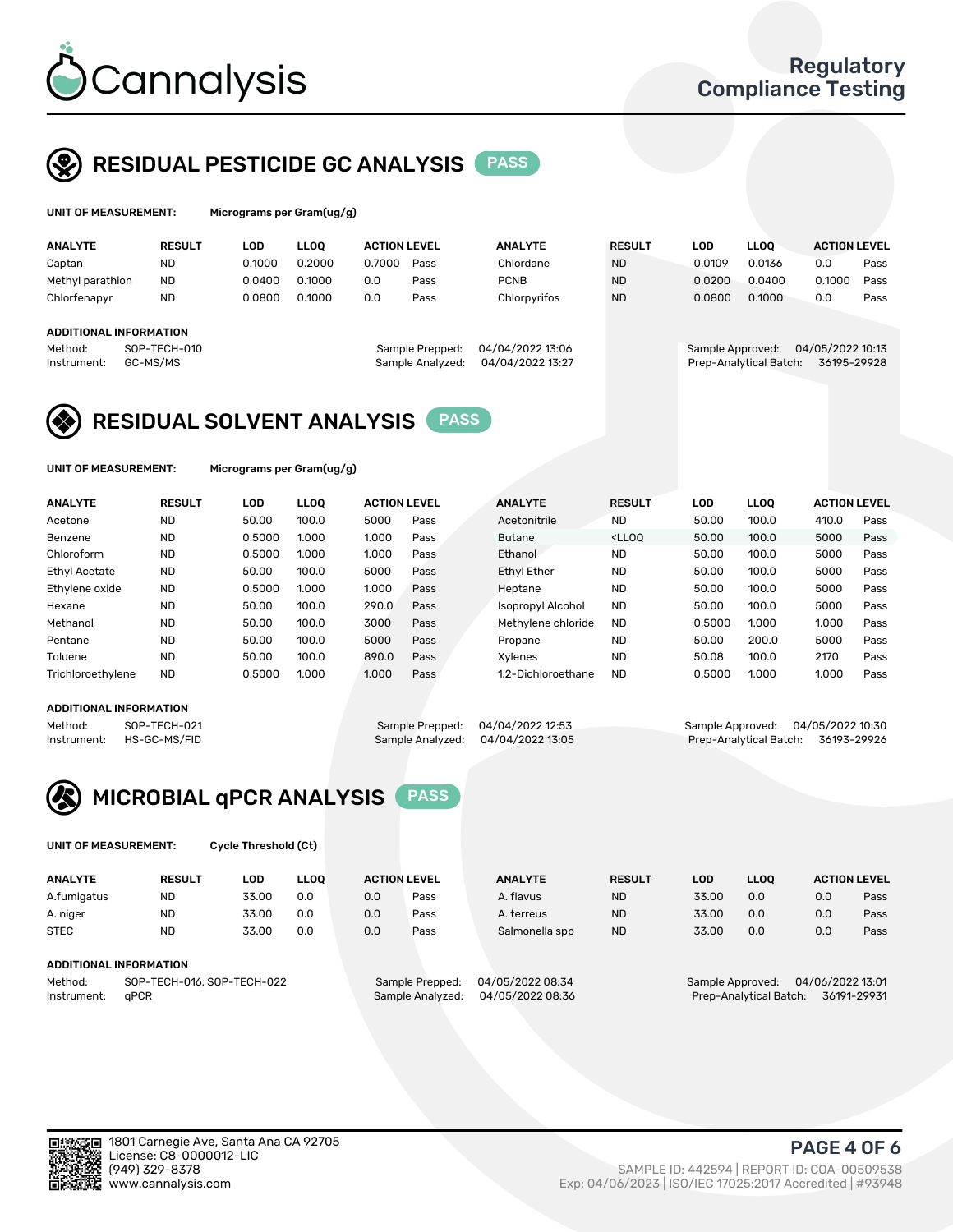

## RESIDUAL PESTICIDE GC ANALYSIS PASS

|                  | UNIT OF MEASUREMENT:          | Micrograms per Gram $(uq/q)$ |             |                     |                  |                  |               |                  |                        |                     |      |
|------------------|-------------------------------|------------------------------|-------------|---------------------|------------------|------------------|---------------|------------------|------------------------|---------------------|------|
| <b>ANALYTE</b>   | <b>RESULT</b>                 | LOD                          | <b>LLOO</b> | <b>ACTION LEVEL</b> |                  | <b>ANALYTE</b>   | <b>RESULT</b> | LOD              | <b>LLOO</b>            | <b>ACTION LEVEL</b> |      |
| Captan           | <b>ND</b>                     | 0.1000                       | 0.2000      | 0.7000              | Pass             | Chlordane        | <b>ND</b>     | 0.0109           | 0.0136                 | 0.0                 | Pass |
| Methyl parathion | ND.                           | 0.0400                       | 0.1000      | 0.0                 | Pass             | <b>PCNB</b>      | <b>ND</b>     | 0.0200           | 0.0400                 | 0.1000              | Pass |
| Chlorfenapyr     | <b>ND</b>                     | 0.0800                       | 0.1000      | 0.0                 | Pass             | Chlorpyrifos     | <b>ND</b>     | 0.0800           | 0.1000                 | 0.0                 | Pass |
|                  |                               |                              |             |                     |                  |                  |               |                  |                        |                     |      |
|                  | <b>ADDITIONAL INFORMATION</b> |                              |             |                     |                  |                  |               |                  |                        |                     |      |
| Method:          | SOP-TECH-010                  |                              |             |                     | Sample Prepped:  | 04/04/2022 13:06 |               | Sample Approved: |                        | 04/05/2022 10:13    |      |
| Instrument:      | GC-MS/MS                      |                              |             |                     | Sample Analyzed: | 04/04/2022 13:27 |               |                  | Prep-Analytical Batch: | 36195-29928         |      |

## RESIDUAL SOLVENT ANALYSIS PASS

UNIT OF MEASUREMENT: Micrograms per Gram(ug/g)

| <b>ANALYTE</b>       | <b>RESULT</b> | <b>LOD</b> | <b>LLOO</b> | <b>ACTION LEVEL</b> |      | <b>ANALYTE</b>           | <b>RESULT</b>                                                               | LOD    | <b>LLOO</b> | <b>ACTION LEVEL</b> |      |
|----------------------|---------------|------------|-------------|---------------------|------|--------------------------|-----------------------------------------------------------------------------|--------|-------------|---------------------|------|
| Acetone              | <b>ND</b>     | 50.00      | 100.0       | 5000                | Pass | Acetonitrile             | <b>ND</b>                                                                   | 50.00  | 100.0       | 410.0               | Pass |
| Benzene              | <b>ND</b>     | 0.5000     | 1.000       | 1.000               | Pass | <b>Butane</b>            | <lloo< td=""><td>50.00</td><td>100.0</td><td>5000</td><td>Pass</td></lloo<> | 50.00  | 100.0       | 5000                | Pass |
| Chloroform           | <b>ND</b>     | 0.5000     | 1.000       | 1.000               | Pass | Ethanol                  | <b>ND</b>                                                                   | 50.00  | 100.0       | 5000                | Pass |
| <b>Ethyl Acetate</b> | <b>ND</b>     | 50.00      | 100.0       | 5000                | Pass | <b>Ethyl Ether</b>       | <b>ND</b>                                                                   | 50.00  | 100.0       | 5000                | Pass |
| Ethylene oxide       | <b>ND</b>     | 0.5000     | 1.000       | 1.000               | Pass | Heptane                  | <b>ND</b>                                                                   | 50.00  | 100.0       | 5000                | Pass |
| Hexane               | <b>ND</b>     | 50.00      | 100.0       | 290.0               | Pass | <b>Isopropyl Alcohol</b> | <b>ND</b>                                                                   | 50.00  | 100.0       | 5000                | Pass |
| Methanol             | <b>ND</b>     | 50.00      | 100.0       | 3000                | Pass | Methylene chloride       | <b>ND</b>                                                                   | 0.5000 | 1.000       | 1.000               | Pass |
| Pentane              | <b>ND</b>     | 50.00      | 100.0       | 5000                | Pass | Propane                  | <b>ND</b>                                                                   | 50.00  | 200.0       | 5000                | Pass |
| Toluene              | <b>ND</b>     | 50.00      | 100.0       | 890.0               | Pass | Xvlenes                  | <b>ND</b>                                                                   | 50.08  | 100.0       | 2170                | Pass |
| Trichloroethylene    | <b>ND</b>     | 0.5000     | 1.000       | 1.000               | Pass | 1.2-Dichloroethane       | <b>ND</b>                                                                   | 0.5000 | 1.000       | 1.000               | Pass |

#### ADDITIONAL INFORMATION

Method: SOP-TECH-021 Sample Prepped: 04/04/2022 12:53 Sample Approved: 04/05/2022 10:30<br>Sample Analyzed: 04/04/2022 13:05 Prep-Analytical Batch: 36193-29926 Prep-Analytical Batch: 36193-29926



UNIT OF MEASUREMENT: Cycle Threshold (Ct)

| <b>ANALYTE</b> | <b>RESULT</b>              | LOD   | <b>LLOO</b> |     | <b>ACTION LEVEL</b> | <b>ANALYTE</b>   | <b>RESULT</b> | <b>LOD</b>       | <b>LLOO</b> |                  | <b>ACTION LEVEL</b> |
|----------------|----------------------------|-------|-------------|-----|---------------------|------------------|---------------|------------------|-------------|------------------|---------------------|
| A.fumigatus    | <b>ND</b>                  | 33.00 | 0.0         | 0.0 | Pass                | A. flavus        | <b>ND</b>     | 33.00            | 0.0         | 0.0              | Pass                |
| A. niger       | <b>ND</b>                  | 33.00 | 0.0         | 0.0 | Pass                | A. terreus       | <b>ND</b>     | 33.00            | 0.0         | 0.0              | Pass                |
| <b>STEC</b>    | <b>ND</b>                  | 33.00 | 0.0         | 0.0 | Pass                | Salmonella spp   | <b>ND</b>     | 33.00            | 0.0         | 0.0              | Pass                |
|                | ADDITIONAL INFORMATION     |       |             |     |                     |                  |               |                  |             |                  |                     |
| Method:        | SOP-TECH-016, SOP-TECH-022 |       |             |     | Sample Prepped:     | 04/05/2022 08:34 |               | Sample Approved: |             | 04/06/2022 13:01 |                     |

Instrument: qPCR Sample Analyzed: 04/05/2022 08:36 Prep-Analytical Batch: 36191-29931

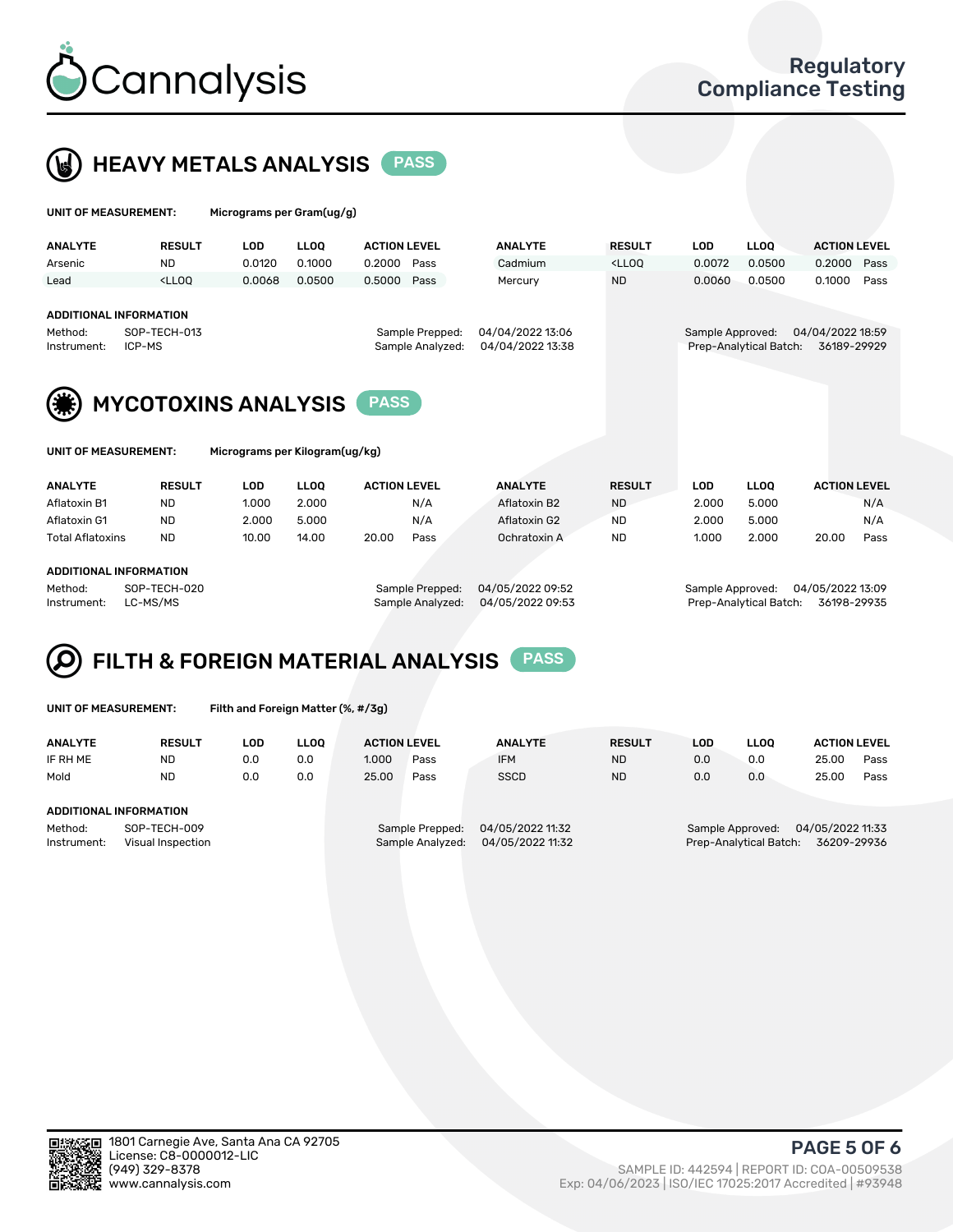

## HEAVY METALS ANALYSIS PASS

| UNIT OF MEASUREMENT: | Micrograms per Gram(ug/g) |
|----------------------|---------------------------|
|                      |                           |

| <b>ANALYTE</b>          | <b>RESULT</b>                                                                                                                                                           | LOD    | <b>LLOO</b>     | <b>ACTION LEVEL</b> | <b>ANALYTE</b>   | <b>RESULT</b>                                                                    | LOD    | <b>LLOO</b>            | <b>ACTION LEVEL</b> |      |
|-------------------------|-------------------------------------------------------------------------------------------------------------------------------------------------------------------------|--------|-----------------|---------------------|------------------|----------------------------------------------------------------------------------|--------|------------------------|---------------------|------|
| Arsenic                 | <b>ND</b>                                                                                                                                                               | 0.0120 | 0.1000          | 0.2000<br>Pass      | Cadmium          | <lloo< td=""><td>0.0072</td><td>0.0500</td><td>0.2000 Pass</td><td></td></lloo<> | 0.0072 | 0.0500                 | 0.2000 Pass         |      |
| Lead                    | <lloo< td=""><td>0.0068</td><td>0.0500</td><td>0.5000<br/>Pass</td><td>Mercury</td><td><b>ND</b></td><td>0.0060</td><td>0.0500</td><td>0.1000</td><td>Pass</td></lloo<> | 0.0068 | 0.0500          | 0.5000<br>Pass      | Mercury          | <b>ND</b>                                                                        | 0.0060 | 0.0500                 | 0.1000              | Pass |
|                         |                                                                                                                                                                         |        |                 |                     |                  |                                                                                  |        |                        |                     |      |
| ADDITIONAL INFORMATION  |                                                                                                                                                                         |        |                 |                     |                  |                                                                                  |        |                        |                     |      |
| SOP-TECH-013<br>Method: |                                                                                                                                                                         |        | Sample Prepped: | 04/04/2022 13:06    |                  | 04/04/2022 18:59<br>Sample Approved:                                             |        |                        |                     |      |
| Instrument:<br>ICP-MS   |                                                                                                                                                                         |        |                 | Sample Analyzed:    | 04/04/2022 13:38 |                                                                                  |        | Prep-Analytical Batch: | 36189-29929         |      |
|                         |                                                                                                                                                                         |        |                 |                     |                  |                                                                                  |        |                        |                     |      |



Micrograms per Kilogram(ug/kg)

| <b>ANALYTE</b>          | <b>RESULT</b> | LOD   | <b>LLOO</b> | <b>ACTION LEVEL</b> |      | <b>ANALYTE</b> | <b>RESULT</b> | LOD   | <b>LLOO</b> | <b>ACTION LEVEL</b> |      |
|-------------------------|---------------|-------|-------------|---------------------|------|----------------|---------------|-------|-------------|---------------------|------|
| Aflatoxin B1            | <b>ND</b>     | 1.000 | 2.000       |                     | N/A  | Aflatoxin B2   | <b>ND</b>     | 2.000 | 5.000       |                     | N/A  |
| Aflatoxin G1            | <b>ND</b>     | 2.000 | 5.000       |                     | N/A  | Aflatoxin G2   | <b>ND</b>     | 2.000 | 5.000       |                     | N/A  |
| <b>Total Aflatoxins</b> | <b>ND</b>     | 10.00 | 14.00       | 20.00               | Pass | Ochratoxin A   | <b>ND</b>     | 1.000 | 2.000       | 20.00               | Pass |
|                         |               |       |             |                     |      |                |               |       |             |                     |      |

#### ADDITIONAL INFORMATION

Method: SOP-TECH-020 Sample Prepped: 04/05/2022 09:52 Sample Approved: 04/05/2022 13:09 Instrument: LC-MS/MS Sample Analyzed: 04/05/2022 09:53 Prep-Analytical Batch: 36198-29935

# FILTH & FOREIGN MATERIAL ANALYSIS PASS

UNIT OF MEASUREMENT: Filth and Foreign Matter (%, #/3g)

| <b>ANALYTE</b>                                              | <b>RESULT</b> | LOD | <b>LLOO</b> | <b>ACTION LEVEL</b>                 |      | <b>ANALYTE</b>                       | <b>RESULT</b> | LOD                                                                           | <b>LLOO</b> |       | <b>ACTION LEVEL</b> |
|-------------------------------------------------------------|---------------|-----|-------------|-------------------------------------|------|--------------------------------------|---------------|-------------------------------------------------------------------------------|-------------|-------|---------------------|
| IF RH ME                                                    | <b>ND</b>     | 0.0 | 0.0         | 1.000                               | Pass | <b>IFM</b>                           | <b>ND</b>     | 0.0                                                                           | 0.0         | 25.00 | Pass                |
| Mold                                                        | <b>ND</b>     | 0.0 | 0.0         | 25.00                               | Pass | <b>SSCD</b>                          | <b>ND</b>     | 0.0                                                                           | 0.0         | 25.00 | Pass                |
| ADDITIONAL INFORMATION                                      |               |     |             |                                     |      |                                      |               |                                                                               |             |       |                     |
| Method:<br>SOP-TECH-009<br>Instrument:<br>Visual Inspection |               |     |             | Sample Prepped:<br>Sample Analyzed: |      | 04/05/2022 11:32<br>04/05/2022 11:32 |               | 04/05/2022 11:33<br>Sample Approved:<br>Prep-Analytical Batch:<br>36209-29936 |             |       |                     |